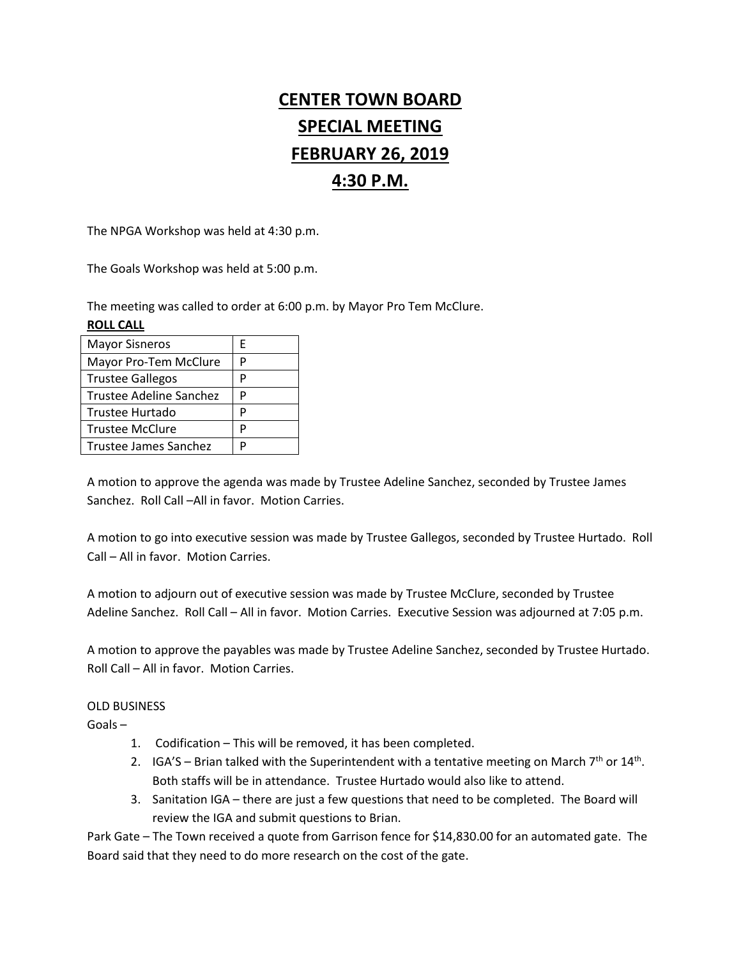# **CENTER TOWN BOARD SPECIAL MEETING FEBRUARY 26, 2019 4:30 P.M.**

The NPGA Workshop was held at 4:30 p.m.

The Goals Workshop was held at 5:00 p.m.

The meeting was called to order at 6:00 p.m. by Mayor Pro Tem McClure.

### **ROLL CALL**

| <b>Mayor Sisneros</b>   | F |
|-------------------------|---|
| Mayor Pro-Tem McClure   | Р |
| <b>Trustee Gallegos</b> | Р |
| Trustee Adeline Sanchez | Р |
| <b>Trustee Hurtado</b>  | P |
| <b>Trustee McClure</b>  | P |
| Trustee James Sanchez   | D |
|                         |   |

A motion to approve the agenda was made by Trustee Adeline Sanchez, seconded by Trustee James Sanchez. Roll Call –All in favor. Motion Carries.

A motion to go into executive session was made by Trustee Gallegos, seconded by Trustee Hurtado. Roll Call – All in favor. Motion Carries.

A motion to adjourn out of executive session was made by Trustee McClure, seconded by Trustee Adeline Sanchez. Roll Call – All in favor. Motion Carries. Executive Session was adjourned at 7:05 p.m.

A motion to approve the payables was made by Trustee Adeline Sanchez, seconded by Trustee Hurtado. Roll Call – All in favor. Motion Carries.

## OLD BUSINESS

Goals –

- 1. Codification This will be removed, it has been completed.
- 2. IGA'S Brian talked with the Superintendent with a tentative meeting on March  $7<sup>th</sup>$  or  $14<sup>th</sup>$ . Both staffs will be in attendance. Trustee Hurtado would also like to attend.
- 3. Sanitation IGA there are just a few questions that need to be completed. The Board will review the IGA and submit questions to Brian.

Park Gate – The Town received a quote from Garrison fence for \$14,830.00 for an automated gate. The Board said that they need to do more research on the cost of the gate.